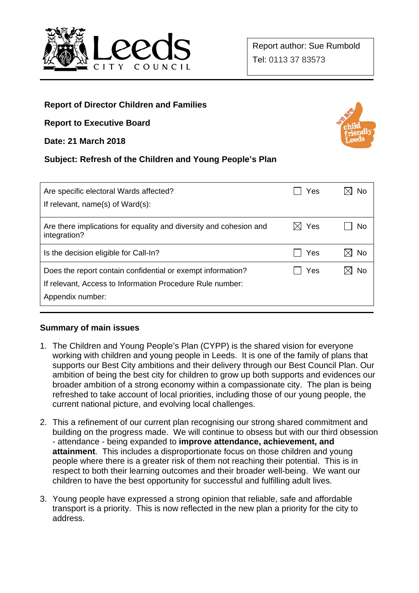

# **Report of Director Children and Families**

**Report to Executive Board** 

**Date: 21 March 2018** 

## **Subject: Refresh of the Children and Young People's Plan**

| Are specific electoral Wards affected?<br>If relevant, name(s) of Ward(s):                                                                   | Yes | No  |
|----------------------------------------------------------------------------------------------------------------------------------------------|-----|-----|
|                                                                                                                                              |     |     |
| Are there implications for equality and diversity and cohesion and<br>integration?                                                           | Yes | No  |
| Is the decision eligible for Call-In?                                                                                                        | Yes | No. |
| Does the report contain confidential or exempt information?<br>If relevant, Access to Information Procedure Rule number:<br>Appendix number: | Yes | No  |

## **Summary of main issues**

- 1. The Children and Young People's Plan (CYPP) is the shared vision for everyone working with children and young people in Leeds. It is one of the family of plans that supports our Best City ambitions and their delivery through our Best Council Plan. Our ambition of being the best city for children to grow up both supports and evidences our broader ambition of a strong economy within a compassionate city. The plan is being refreshed to take account of local priorities, including those of our young people, the current national picture, and evolving local challenges.
- 2. This a refinement of our current plan recognising our strong shared commitment and building on the progress made. We will continue to obsess but with our third obsession - attendance - being expanded to **improve attendance, achievement, and attainment**. This includes a disproportionate focus on those children and young people where there is a greater risk of them not reaching their potential. This is in respect to both their learning outcomes and their broader well-being. We want our children to have the best opportunity for successful and fulfilling adult lives.
- 3. Young people have expressed a strong opinion that reliable, safe and affordable transport is a priority. This is now reflected in the new plan a priority for the city to address.

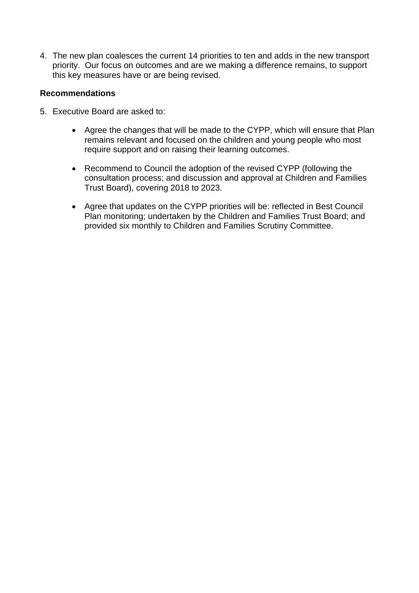4. The new plan coalesces the current 14 priorities to ten and adds in the new transport priority. Our focus on outcomes and are we making a difference remains, to support this key measures have or are being revised.

#### **Recommendations**

- 5. Executive Board are asked to:
	- Agree the changes that will be made to the CYPP, which will ensure that Plan remains relevant and focused on the children and young people who most require support and on raising their learning outcomes.
	- Recommend to Council the adoption of the revised CYPP (following the consultation process; and discussion and approval at Children and Families Trust Board), covering 2018 to 2023.
	- Agree that updates on the CYPP priorities will be: reflected in Best Council Plan monitoring; undertaken by the Children and Families Trust Board; and provided six monthly to Children and Families Scrutiny Committee.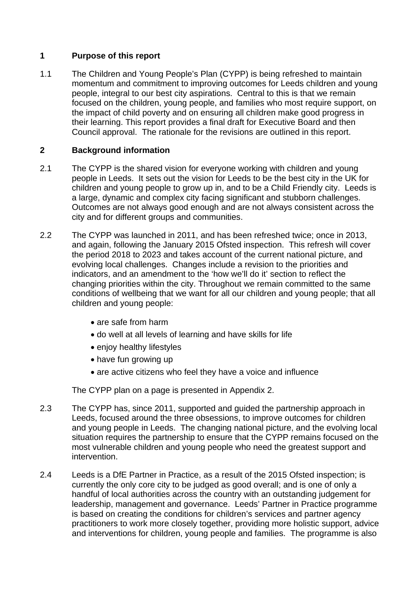## **1 Purpose of this report**

1.1 The Children and Young People's Plan (CYPP) is being refreshed to maintain momentum and commitment to improving outcomes for Leeds children and young people, integral to our best city aspirations. Central to this is that we remain focused on the children, young people, and families who most require support, on the impact of child poverty and on ensuring all children make good progress in their learning. This report provides a final draft for Executive Board and then Council approval. The rationale for the revisions are outlined in this report.

# **2 Background information**

- 2.1 The CYPP is the shared vision for everyone working with children and young people in Leeds. It sets out the vision for Leeds to be the best city in the UK for children and young people to grow up in, and to be a Child Friendly city. Leeds is a large, dynamic and complex city facing significant and stubborn challenges. Outcomes are not always good enough and are not always consistent across the city and for different groups and communities.
- 2.2 The CYPP was launched in 2011, and has been refreshed twice; once in 2013, and again, following the January 2015 Ofsted inspection. This refresh will cover the period 2018 to 2023 and takes account of the current national picture, and evolving local challenges. Changes include a revision to the priorities and indicators, and an amendment to the 'how we'll do it' section to reflect the changing priorities within the city. Throughout we remain committed to the same conditions of wellbeing that we want for all our children and young people; that all children and young people:
	- are safe from harm
	- do well at all levels of learning and have skills for life
	- enjoy healthy lifestyles
	- have fun growing up
	- are active citizens who feel they have a voice and influence

The CYPP plan on a page is presented in Appendix 2.

- 2.3 The CYPP has, since 2011, supported and guided the partnership approach in Leeds, focused around the three obsessions, to improve outcomes for children and young people in Leeds. The changing national picture, and the evolving local situation requires the partnership to ensure that the CYPP remains focused on the most vulnerable children and young people who need the greatest support and intervention.
- 2.4 Leeds is a DfE Partner in Practice, as a result of the 2015 Ofsted inspection; is currently the only core city to be judged as good overall; and is one of only a handful of local authorities across the country with an outstanding judgement for leadership, management and governance. Leeds' Partner in Practice programme is based on creating the conditions for children's services and partner agency practitioners to work more closely together, providing more holistic support, advice and interventions for children, young people and families. The programme is also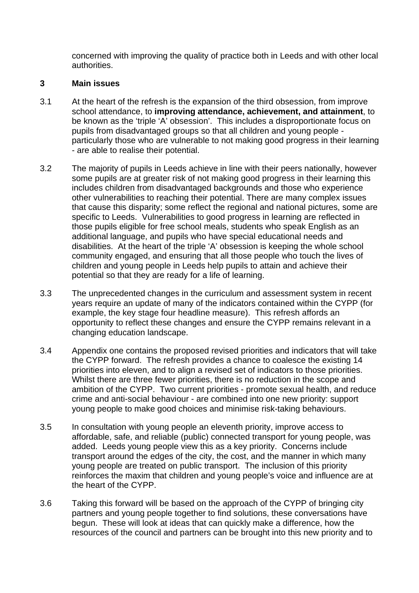concerned with improving the quality of practice both in Leeds and with other local authorities.

#### **3 Main issues**

- 3.1 At the heart of the refresh is the expansion of the third obsession, from improve school attendance, to **improving attendance, achievement, and attainment**, to be known as the 'triple 'A' obsession'. This includes a disproportionate focus on pupils from disadvantaged groups so that all children and young people particularly those who are vulnerable to not making good progress in their learning - are able to realise their potential.
- 3.2 The majority of pupils in Leeds achieve in line with their peers nationally, however some pupils are at greater risk of not making good progress in their learning this includes children from disadvantaged backgrounds and those who experience other vulnerabilities to reaching their potential. There are many complex issues that cause this disparity; some reflect the regional and national pictures, some are specific to Leeds. Vulnerabilities to good progress in learning are reflected in those pupils eligible for free school meals, students who speak English as an additional language, and pupils who have special educational needs and disabilities. At the heart of the triple 'A' obsession is keeping the whole school community engaged, and ensuring that all those people who touch the lives of children and young people in Leeds help pupils to attain and achieve their potential so that they are ready for a life of learning.
- 3.3 The unprecedented changes in the curriculum and assessment system in recent years require an update of many of the indicators contained within the CYPP (for example, the key stage four headline measure). This refresh affords an opportunity to reflect these changes and ensure the CYPP remains relevant in a changing education landscape.
- 3.4 Appendix one contains the proposed revised priorities and indicators that will take the CYPP forward. The refresh provides a chance to coalesce the existing 14 priorities into eleven, and to align a revised set of indicators to those priorities. Whilst there are three fewer priorities, there is no reduction in the scope and ambition of the CYPP. Two current priorities - promote sexual health, and reduce crime and anti-social behaviour - are combined into one new priority: support young people to make good choices and minimise risk-taking behaviours.
- 3.5 In consultation with young people an eleventh priority, improve access to affordable, safe, and reliable (public) connected transport for young people, was added. Leeds young people view this as a key priority. Concerns include transport around the edges of the city, the cost, and the manner in which many young people are treated on public transport. The inclusion of this priority reinforces the maxim that children and young people's voice and influence are at the heart of the CYPP.
- 3.6 Taking this forward will be based on the approach of the CYPP of bringing city partners and young people together to find solutions, these conversations have begun. These will look at ideas that can quickly make a difference, how the resources of the council and partners can be brought into this new priority and to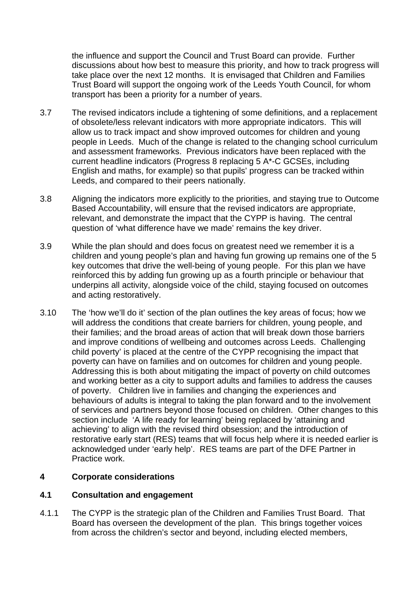the influence and support the Council and Trust Board can provide. Further discussions about how best to measure this priority, and how to track progress will take place over the next 12 months. It is envisaged that Children and Families Trust Board will support the ongoing work of the Leeds Youth Council, for whom transport has been a priority for a number of years.

- 3.7 The revised indicators include a tightening of some definitions, and a replacement of obsolete/less relevant indicators with more appropriate indicators. This will allow us to track impact and show improved outcomes for children and young people in Leeds. Much of the change is related to the changing school curriculum and assessment frameworks. Previous indicators have been replaced with the current headline indicators (Progress 8 replacing 5 A\*-C GCSEs, including English and maths, for example) so that pupils' progress can be tracked within Leeds, and compared to their peers nationally.
- 3.8 Aligning the indicators more explicitly to the priorities, and staying true to Outcome Based Accountability, will ensure that the revised indicators are appropriate, relevant, and demonstrate the impact that the CYPP is having. The central question of 'what difference have we made' remains the key driver.
- 3.9 While the plan should and does focus on greatest need we remember it is a children and young people's plan and having fun growing up remains one of the 5 key outcomes that drive the well-being of young people. For this plan we have reinforced this by adding fun growing up as a fourth principle or behaviour that underpins all activity, alongside voice of the child, staying focused on outcomes and acting restoratively.
- 3.10 The 'how we'll do it' section of the plan outlines the key areas of focus; how we will address the conditions that create barriers for children, young people, and their families; and the broad areas of action that will break down those barriers and improve conditions of wellbeing and outcomes across Leeds. Challenging child poverty' is placed at the centre of the CYPP recognising the impact that poverty can have on families and on outcomes for children and young people. Addressing this is both about mitigating the impact of poverty on child outcomes and working better as a city to support adults and families to address the causes of poverty. Children live in families and changing the experiences and behaviours of adults is integral to taking the plan forward and to the involvement of services and partners beyond those focused on children. Other changes to this section include 'A life ready for learning' being replaced by 'attaining and achieving' to align with the revised third obsession; and the introduction of restorative early start (RES) teams that will focus help where it is needed earlier is acknowledged under 'early help'. RES teams are part of the DFE Partner in Practice work.

## **4 Corporate considerations**

#### **4.1 Consultation and engagement**

4.1.1 The CYPP is the strategic plan of the Children and Families Trust Board. That Board has overseen the development of the plan. This brings together voices from across the children's sector and beyond, including elected members,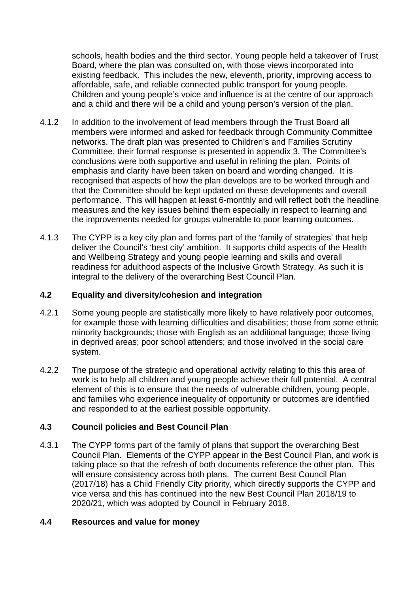schools, health bodies and the third sector. Young people held a takeover of Trust Board, where the plan was consulted on, with those views incorporated into existing feedback. This includes the new, eleventh, priority, improving access to affordable, safe, and reliable connected public transport for young people. Children and young people's voice and influence is at the centre of our approach and a child and there will be a child and young person's version of the plan.

- 4.1.2 In addition to the involvement of lead members through the Trust Board all members were informed and asked for feedback through Community Committee networks. The draft plan was presented to Children's and Families Scrutiny Committee, their formal response is presented in appendix 3. The Committee's conclusions were both supportive and useful in refining the plan. Points of emphasis and clarity have been taken on board and wording changed. It is recognised that aspects of how the plan develops are to be worked through and that the Committee should be kept updated on these developments and overall performance. This will happen at least 6-monthly and will reflect both the headline measures and the key issues behind them especially in respect to learning and the improvements needed for groups vulnerable to poor learning outcomes.
- 4.1.3 The CYPP is a key city plan and forms part of the 'family of strategies' that help deliver the Council's 'best city' ambition. It supports child aspects of the Health and Wellbeing Strategy and young people learning and skills and overall readiness for adulthood aspects of the Inclusive Growth Strategy. As such it is integral to the delivery of the overarching Best Council Plan.

## **4.2 Equality and diversity/cohesion and integration**

- 4.2.1 Some young people are statistically more likely to have relatively poor outcomes, for example those with learning difficulties and disabilities; those from some ethnic minority backgrounds; those with English as an additional language; those living in deprived areas; poor school attenders; and those involved in the social care system.
- 4.2.2 The purpose of the strategic and operational activity relating to this this area of work is to help all children and young people achieve their full potential. A central element of this is to ensure that the needs of vulnerable children, young people, and families who experience inequality of opportunity or outcomes are identified and responded to at the earliest possible opportunity.

## **4.3 Council policies and Best Council Plan**

4.3.1 The CYPP forms part of the family of plans that support the overarching Best Council Plan. Elements of the CYPP appear in the Best Council Plan, and work is taking place so that the refresh of both documents reference the other plan. This will ensure consistency across both plans. The current Best Council Plan (2017/18) has a Child Friendly City priority, which directly supports the CYPP and vice versa and this has continued into the new Best Council Plan 2018/19 to 2020/21, which was adopted by Council in February 2018.

#### **4.4 Resources and value for money**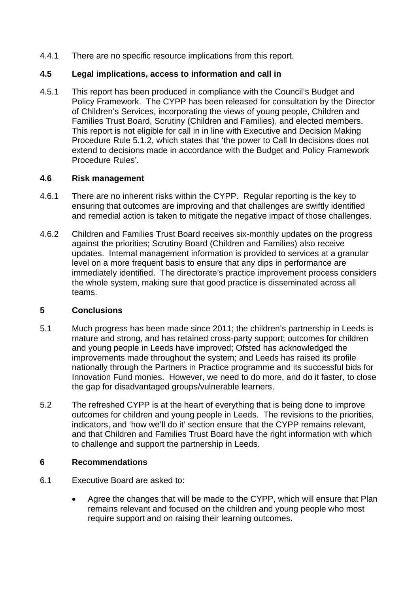4.4.1 There are no specific resource implications from this report.

#### **4.5 Legal implications, access to information and call in**

4.5.1 This report has been produced in compliance with the Council's Budget and Policy Framework. The CYPP has been released for consultation by the Director of Children's Services, incorporating the views of young people, Children and Families Trust Board, Scrutiny (Children and Families), and elected members. This report is not eligible for call in in line with Executive and Decision Making Procedure Rule 5.1.2, which states that 'the power to Call In decisions does not extend to decisions made in accordance with the Budget and Policy Framework Procedure Rules'.

## **4.6 Risk management**

- 4.6.1 There are no inherent risks within the CYPP. Regular reporting is the key to ensuring that outcomes are improving and that challenges are swiftly identified and remedial action is taken to mitigate the negative impact of those challenges.
- 4.6.2 Children and Families Trust Board receives six-monthly updates on the progress against the priorities; Scrutiny Board (Children and Families) also receive updates. Internal management information is provided to services at a granular level on a more frequent basis to ensure that any dips in performance are immediately identified. The directorate's practice improvement process considers the whole system, making sure that good practice is disseminated across all teams.

## **5 Conclusions**

- 5.1 Much progress has been made since 2011; the children's partnership in Leeds is mature and strong, and has retained cross-party support; outcomes for children and young people in Leeds have improved; Ofsted has acknowledged the improvements made throughout the system; and Leeds has raised its profile nationally through the Partners in Practice programme and its successful bids for Innovation Fund monies. However, we need to do more, and do it faster, to close the gap for disadvantaged groups/vulnerable learners.
- 5.2 The refreshed CYPP is at the heart of everything that is being done to improve outcomes for children and young people in Leeds. The revisions to the priorities, indicators, and 'how we'll do it' section ensure that the CYPP remains relevant, and that Children and Families Trust Board have the right information with which to challenge and support the partnership in Leeds.

## **6 Recommendations**

- 6.1 Executive Board are asked to:
	- Agree the changes that will be made to the CYPP, which will ensure that Plan remains relevant and focused on the children and young people who most require support and on raising their learning outcomes.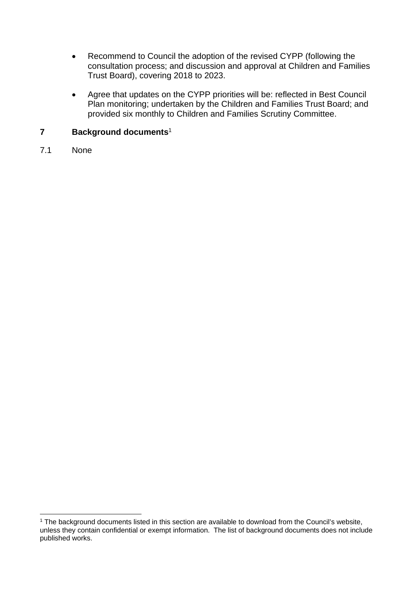- Recommend to Council the adoption of the revised CYPP (following the consultation process; and discussion and approval at Children and Families Trust Board), covering 2018 to 2023.
- Agree that updates on the CYPP priorities will be: reflected in Best Council Plan monitoring; undertaken by the Children and Families Trust Board; and provided six monthly to Children and Families Scrutiny Committee.

## **7 Background documents**<sup>1</sup>

7.1 None

l

<sup>&</sup>lt;sup>1</sup> The background documents listed in this section are available to download from the Council's website, unless they contain confidential or exempt information. The list of background documents does not include published works.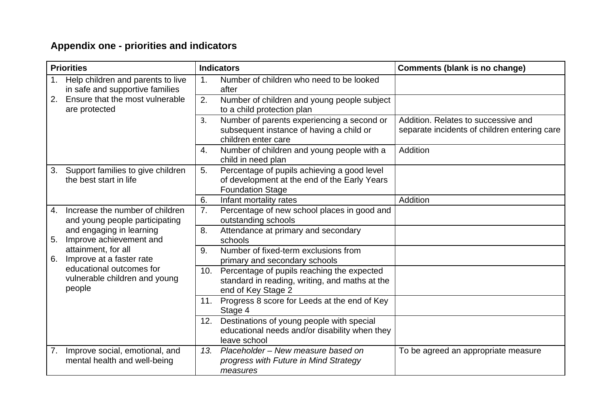# **Appendix one - priorities and indicators**

| <b>Priorities</b> |                                                                      | <b>Indicators</b> |                                                                                                                        | <b>Comments (blank is no change)</b>                                                |
|-------------------|----------------------------------------------------------------------|-------------------|------------------------------------------------------------------------------------------------------------------------|-------------------------------------------------------------------------------------|
|                   | Help children and parents to live<br>in safe and supportive families | 1.                | Number of children who need to be looked<br>after                                                                      |                                                                                     |
| 2.                | Ensure that the most vulnerable<br>are protected                     | 2.                | Number of children and young people subject<br>to a child protection plan                                              |                                                                                     |
|                   |                                                                      | 3.                | Number of parents experiencing a second or<br>subsequent instance of having a child or<br>children enter care          | Addition. Relates to successive and<br>separate incidents of children entering care |
|                   |                                                                      | 4.                | Number of children and young people with a<br>child in need plan                                                       | Addition                                                                            |
| 3.                | Support families to give children<br>the best start in life          | 5.                | Percentage of pupils achieving a good level<br>of development at the end of the Early Years<br><b>Foundation Stage</b> |                                                                                     |
|                   |                                                                      | 6.                | Infant mortality rates                                                                                                 | Addition                                                                            |
| 4.                | Increase the number of children<br>and young people participating    | 7.                | Percentage of new school places in good and<br>outstanding schools                                                     |                                                                                     |
| 5.                | and engaging in learning<br>Improve achievement and                  | 8.                | Attendance at primary and secondary<br>schools                                                                         |                                                                                     |
| 6.                | attainment, for all<br>Improve at a faster rate                      | 9.                | Number of fixed-term exclusions from<br>primary and secondary schools                                                  |                                                                                     |
|                   | educational outcomes for<br>vulnerable children and young<br>people  | 10.               | Percentage of pupils reaching the expected<br>standard in reading, writing, and maths at the<br>end of Key Stage 2     |                                                                                     |
|                   |                                                                      | 11.               | Progress 8 score for Leeds at the end of Key<br>Stage 4                                                                |                                                                                     |
|                   |                                                                      |                   | 12. Destinations of young people with special<br>educational needs and/or disability when they<br>leave school         |                                                                                     |
| 7.                | Improve social, emotional, and<br>mental health and well-being       | 13.               | Placeholder – New measure based on<br>progress with Future in Mind Strategy<br>measures                                | To be agreed an appropriate measure                                                 |